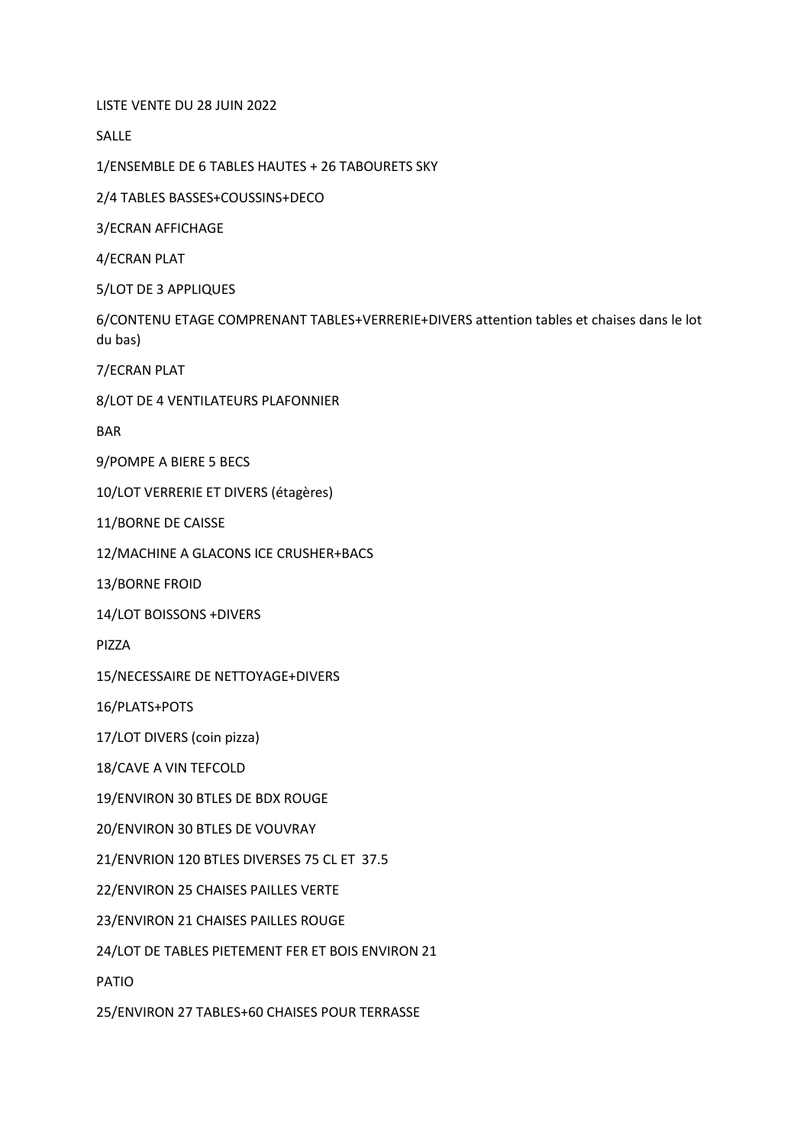LISTE VENTE DU 28 JUIN 2022

SALLE

1/ENSEMBLE DE 6 TABLES HAUTES + 26 TABOURETS SKY

2/4 TABLES BASSES+COUSSINS+DECO

3/ECRAN AFFICHAGE

4/ECRAN PLAT

5/LOT DE 3 APPLIQUES

6/CONTENU ETAGE COMPRENANT TABLES+VERRERIE+DIVERS attention tables et chaises dans le lot du bas)

7/ECRAN PLAT

8/LOT DE 4 VENTILATEURS PLAFONNIER

BAR

9/POMPE A BIERE 5 BECS

10/LOT VERRERIE ET DIVERS (étagères)

11/BORNE DE CAISSE

12/MACHINE A GLACONS ICE CRUSHER+BACS

13/BORNE FROID

14/LOT BOISSONS +DIVERS

PIZZA

15/NECESSAIRE DE NETTOYAGE+DIVERS

16/PLATS+POTS

17/LOT DIVERS (coin pizza)

18/CAVE A VIN TEFCOLD

19/ENVIRON 30 BTLES DE BDX ROUGE

20/ENVIRON 30 BTLES DE VOUVRAY

21/ENVRION 120 BTLES DIVERSES 75 CL ET 37.5

22/ENVIRON 25 CHAISES PAILLES VERTE

23/ENVIRON 21 CHAISES PAILLES ROUGE

24/LOT DE TABLES PIETEMENT FER ET BOIS ENVIRON 21

PATIO

25/ENVIRON 27 TABLES+60 CHAISES POUR TERRASSE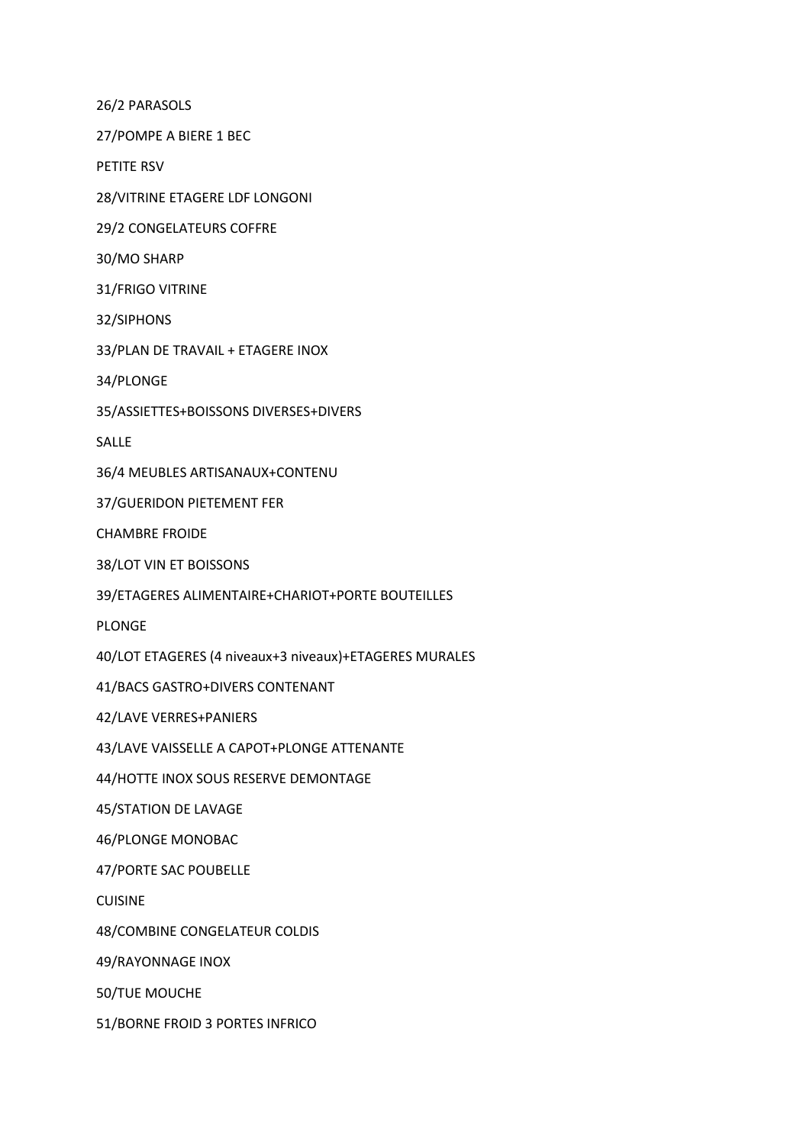26/2 PARASOLS 27/POMPE A BIERE 1 BEC PETITE RSV 28/VITRINE ETAGERE LDF LONGONI 29/2 CONGELATEURS COFFRE 30/MO SHARP 31/FRIGO VITRINE 32/SIPHONS 33/PLAN DE TRAVAIL + ETAGERE INOX 34/PLONGE 35/ASSIETTES+BOISSONS DIVERSES+DIVERS SALLE 36/4 MEUBLES ARTISANAUX+CONTENU 37/GUERIDON PIETEMENT FER CHAMBRE FROIDE 38/LOT VIN ET BOISSONS 39/ETAGERES ALIMENTAIRE+CHARIOT+PORTE BOUTEILLES PLONGE 40/LOT ETAGERES (4 niveaux+3 niveaux)+ETAGERES MURALES 41/BACS GASTRO+DIVERS CONTENANT 42/LAVE VERRES+PANIERS 43/LAVE VAISSELLE A CAPOT+PLONGE ATTENANTE 44/HOTTE INOX SOUS RESERVE DEMONTAGE 45/STATION DE LAVAGE 46/PLONGE MONOBAC 47/PORTE SAC POUBELLE

CUISINE

48/COMBINE CONGELATEUR COLDIS

49/RAYONNAGE INOX

50/TUE MOUCHE

51/BORNE FROID 3 PORTES INFRICO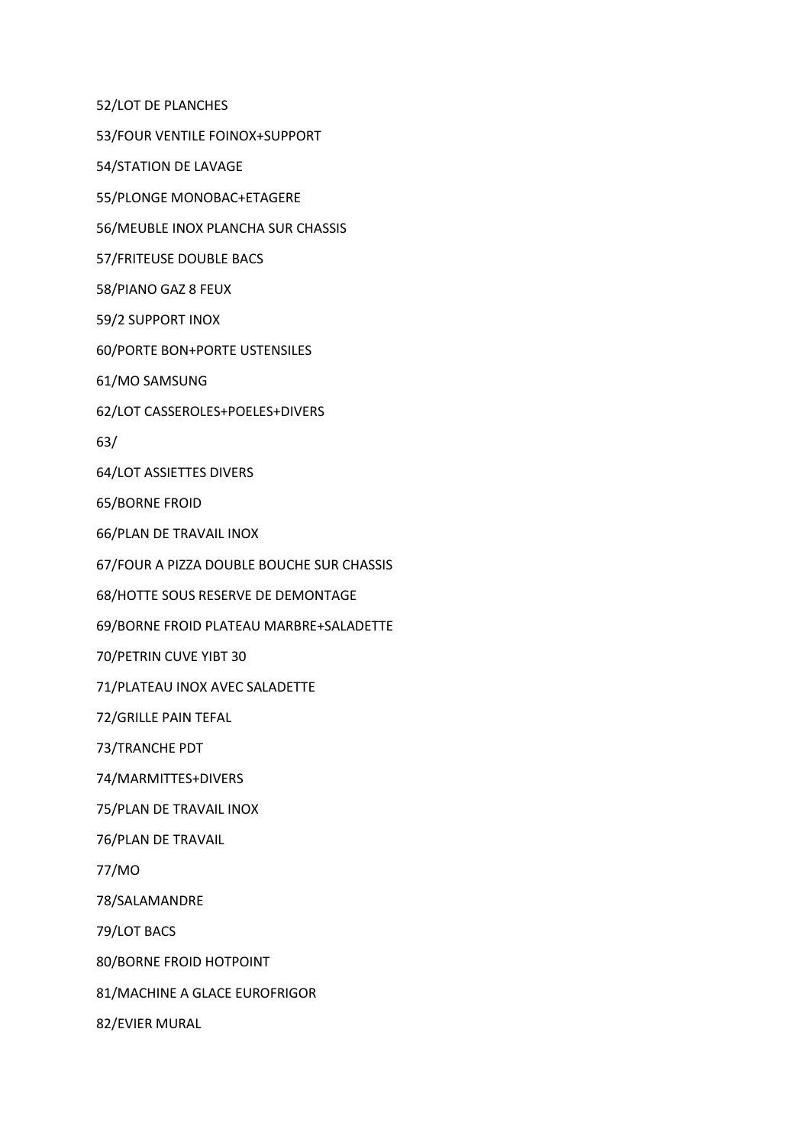52/LOT DE PLANCHES

53/FOUR VENTILE FOINOX+SUPPORT

54/STATION DE LAVAGE

55/PLONGE MONOBAC+ETAGERE

56/MEUBLE INOX PLANCHA SUR CHASSIS

57/FRITEUSE DOUBLE BACS

58/PIANO GAZ 8 FEUX

59/2 SUPPORT INOX

60/PORTE BON+PORTE USTENSILES

61/MO SAMSUNG

62/LOT CASSEROLES+POELES+DIVERS

63/

64/LOT ASSIETTES DIVERS

65/BORNE FROID

66/PLAN DE TRAVAIL INOX

67/FOUR A PIZZA DOUBLE BOUCHE SUR CHASSIS

68/HOTTE SOUS RESERVE DE DEMONTAGE

69/BORNE FROID PLATEAU MARBRE+SALADETTE

70/PETRIN CUVE YIBT 30

71/PLATEAU INOX AVEC SALADETTE

72/GRILLE PAIN TEFAL

73/TRANCHE PDT

74/MARMITTES+DIVERS

75/PLAN DE TRAVAIL INOX

76/PLAN DE TRAVAIL

77/MO

78/SALAMANDRE

79/LOT BACS

80/BORNE FROID HOTPOINT

81/MACHINE A GLACE EUROFRIGOR

82/EVIER MURAL